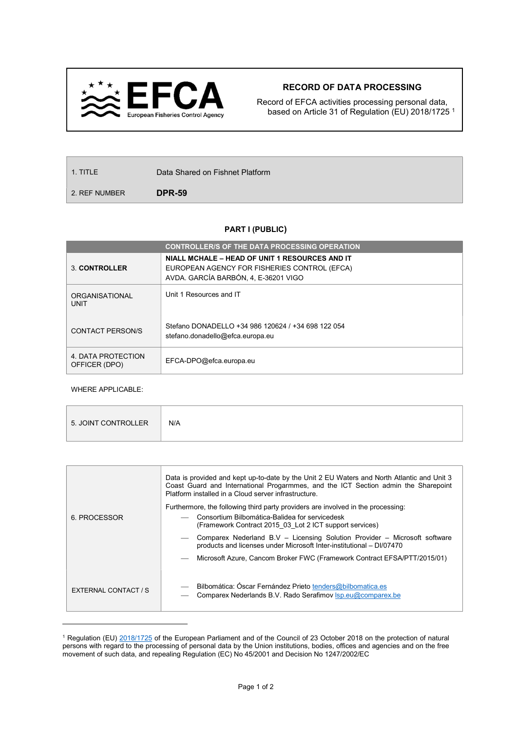

## RECORD OF DATA PROCESSING

Record of EFCA activities processing personal data, based on Article 31 of Regulation (EU) 2018/1725 <sup>1</sup>

| $\vert$ 1. TITLE | Data Shared on Fishnet Platform |
|------------------|---------------------------------|
| 2. REF NUMBER    | <b>DPR-59</b>                   |

## PART I (PUBLIC)

|                                     | <b>CONTROLLER/S OF THE DATA PROCESSING OPERATION</b>                                                                                   |
|-------------------------------------|----------------------------------------------------------------------------------------------------------------------------------------|
| <b>3. CONTROLLER</b>                | NIALL MCHALE – HEAD OF UNIT 1 RESOURCES AND IT<br>EUROPEAN AGENCY FOR FISHERIES CONTROL (EFCA)<br>AVDA. GARCÍA BARBÓN, 4, E-36201 VIGO |
| ORGANISATIONAL<br><b>UNIT</b>       | Unit 1 Resources and IT                                                                                                                |
| CONTACT PERSON/S                    | Stefano DONADELLO +34 986 120624 / +34 698 122 054<br>stefano.donadello@efca.europa.eu                                                 |
| 4. DATA PROTECTION<br>OFFICER (DPO) | EFCA-DPO@efca.europa.eu                                                                                                                |

WHERE APPLICABLE:

 $\overline{a}$ 

|                      | Data is provided and kept up-to-date by the Unit 2 EU Waters and North Atlantic and Unit 3<br>Coast Guard and International Progarmmes, and the ICT Section admin the Sharepoint<br>Platform installed in a Cloud server infrastructure. |  |  |  |
|----------------------|------------------------------------------------------------------------------------------------------------------------------------------------------------------------------------------------------------------------------------------|--|--|--|
|                      | Furthermore, the following third party providers are involved in the processing:                                                                                                                                                         |  |  |  |
| 6. PROCESSOR         | Consortium Bilbomática-Balidea for servicedesk<br>(Framework Contract 2015 03 Lot 2 ICT support services)                                                                                                                                |  |  |  |
|                      | Comparex Nederland B.V - Licensing Solution Provider - Microsoft software<br>products and licenses under Microsoft Inter-institutional - DI/07470                                                                                        |  |  |  |
|                      | Microsoft Azure, Cancom Broker FWC (Framework Contract EFSA/PTT/2015/01)                                                                                                                                                                 |  |  |  |
| EXTERNAL CONTACT / S | Bilbomática: Óscar Fernández Prieto tenders@bilbomatica.es<br>Comparex Nederlands B.V. Rado Serafimov Isp.eu@comparex.be                                                                                                                 |  |  |  |

<sup>&</sup>lt;sup>1</sup> Regulation (EU) 2018/1725 of the European Parliament and of the Council of 23 October 2018 on the protection of natural persons with regard to the processing of personal data by the Union institutions, bodies, offices and agencies and on the free movement of such data, and repealing Regulation (EC) No 45/2001 and Decision No 1247/2002/EC